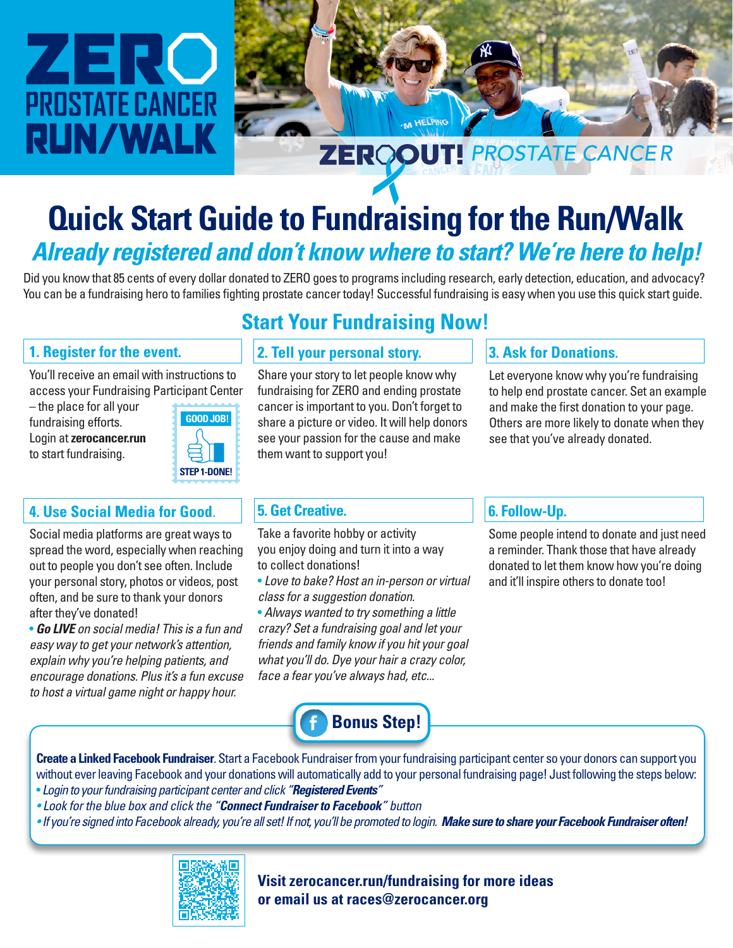# ZERC **PROSTATE CANCER RUN/WALK**



## **Quick Start Guide to Fundraising for the Run/Walk** *Already registered and don't know where to start? We're here to help!*

Did you know that 85 cents of every dollar donated to ZERO goes to programs including research, early detection, education, and advocacy? You can be a fundraising hero to families fighting prostate cancer today! Successful fundraising is easy when you use this quick start guide.

### **1. Register for the event.**

You'll receive an email with instructions to access your Fundraising Participant Center

– the place for all your fundraising efforts. Login at **zerocancer.run** to start fundraising.



### **4. Use Social Media for Good**.

Social media platforms are great ways to spread the word, especially when reaching out to people you don't see often. Include your personal story, photos or videos, post often, and be sure to thank your donors after they've donated!

• *Go LIVE on social media! This is a fun and easy way to get your network's attention, explain why you're helping patients, and encourage donations. Plus it's a fun excuse to host a virtual game night or happy hour.*

### **Start Your Fundraising Now!**

### **2. Tell your personal story.**

Share your story to let people know why fundraising for ZERO and ending prostate cancer is important to you. Don't forget to share a picture or video. It will help donors see your passion for the cause and make them want to support you!

### **3. Ask for Donations.**

Let everyone know why you're fundraising to help end prostate cancer. Set an example and make the first donation to your page. Others are more likely to donate when they see that you've already donated.

### **5. Get Creative.**

Take a favorite hobby or activity you enjoy doing and turn it into a way to collect donations!

• *Love to bake? Host an in-person or virtual class for a suggestion donation.*

• *Always wanted to try something a little crazy? Set a fundraising goal and let your friends and family know if you hit your goal what you'll do. Dye your hair a crazy color, face a fear you've always had, etc...*

**Bonus Step!**

### **6. Follow-Up.**

Some people intend to donate and just need a reminder. Thank those that have already donated to let them know how you're doing and it'll inspire others to donate too!

**Create a Linked Facebook Fundraiser**. Start a Facebook Fundraiser from your fundraising participant center so your donors can support you without ever leaving Facebook and your donations will automatically add to your personal fundraising page! Just following the steps below: • *Login to your fundraising participant center and click "Registered Events"*

- *Look for the blue box and click the "Connect Fundraiser to Facebook" button*
- If you're signed into Facebook already, you're all set! If not, you'll be promoted to login. Make sure to share your Facebook Fundraiser often!



**Visit zerocancer.run/fundraising for more ideas or email us at races@zerocancer.org**